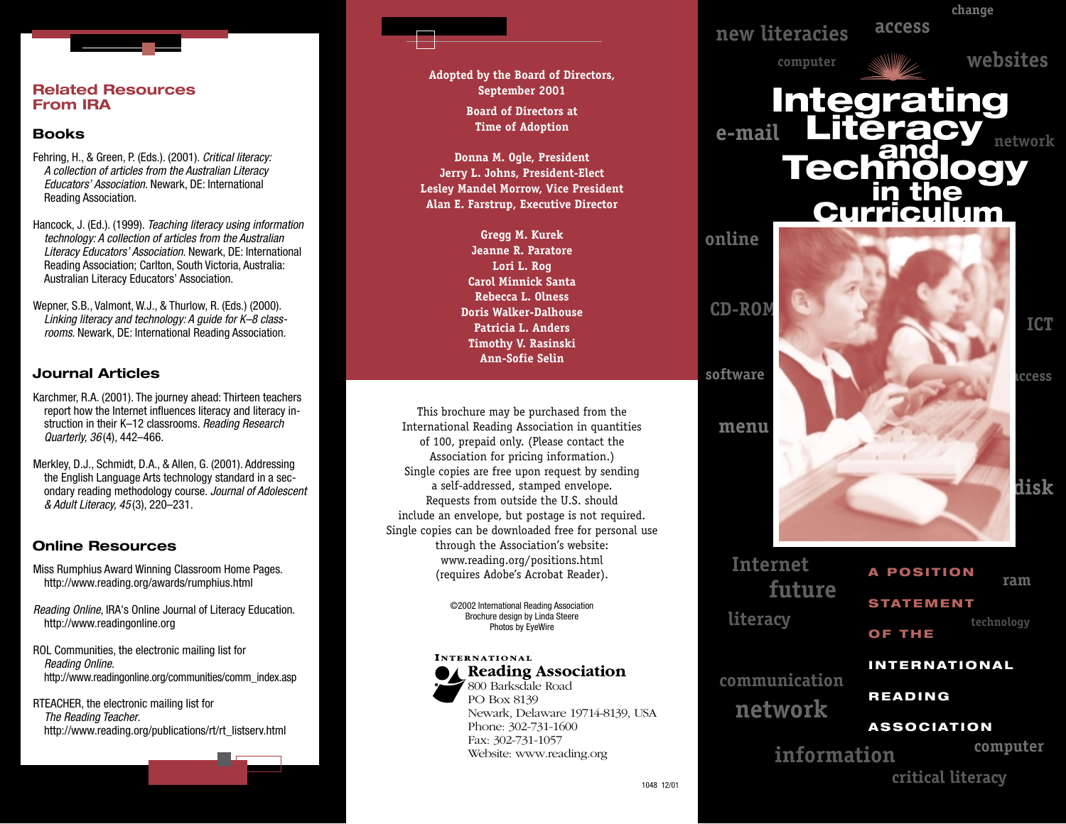#### **Related Resources From IRA**

# **Books**

- Fehring, H., & Green, P. (Eds.). (2001). *Critical literacy: A collection of articles from the Australian Literacy Educators' Association*. Newark, DE: International Reading Association.
- Hancock, J. (Ed.). (1999). *Teaching literacy using information technology: A collection of articles from the Australian Literacy Educators' Association*. Newark, DE: International Reading Association; Carlton, South Victoria, Australia: Australian Literacy Educators' Association.
- Wepner, S.B., Valmont, W.J., & Thurlow, R. (Eds.) (2000). *Linking literacy and technology: A guide for K–8 classrooms*. Newark, DE: International Reading Association.

# **Journal Articles**

- Karchmer, R.A. (2001). The journey ahead: Thirteen teachers report how the Internet influences literacy and literacy instruction in their K–12 classrooms. *Reading Research Quarterly, 36* (4), 442–466.
- Merkley, D.J., Schmidt, D.A., & Allen, G. (2001). Addressing the English Language Arts technology standard in a secondary reading methodology course. *Journal of Adolescent & Adult Literacy, 45* (3), 220–231.

# **Online Resources**

- Miss Rumphius Award Winning Classroom Home Pages. http://www.reading.org/awards/rumphius.html
- *Reading Online*, IRA's Online Journal of Literacy Education. http://www.readingonline.org
- ROL Communities, the electronic mailing list for *Reading Online*. http://www.readingonline.org/communities/comm\_index.asp
- RTEACHER, the electronic mailing list for *The Reading Teacher*. http://www.reading.org/publications/rt/rt\_listserv.html

**Adopted by the Board of Directors, September 2001 Board of Directors at Time of Adoption**

**Donna M. Ogle, President Jerry L. Johns, President-Elect Lesley Mandel Morrow, Vice President Alan E. Farstrup, Executive Director**

> **Gregg M. Kurek Jeanne R. Paratore Lori L. Rog Carol Minnick Santa Rebecca L. Olness Doris Walker-Dalhouse Patricia L. Anders Timothy V. Rasinski Ann-Sofie Selin**

This brochure may be purchased from the International Reading Association in quantities of 100, prepaid only. (Please contact the Association for pricing information.) Single copies are free upon request by sending a self-addressed, stamped envelope. Requests from outside the U.S. should include an envelope, but postage is not required. Single copies can be downloaded free for personal use through the Association's website: www.reading.org/positions.html (requires Adobe's Acrobat Reader).

> ©2002 International Reading Association Brochure design by Linda Steere Photos by EyeWire

#### **INTERNATIONAL**



PO Box 8139 Reading Association Newark, Delaware 19714-8139, USA Phone: 302-731-1600 Fax: 302-731-1057 Website: www.reading.org



# **Internet literacy future**

**network**

**communication**

**A POSITION ram**

**technology**

**change**

**STATEMENT**

**OF THE**

#### **INTERNATIONAL**

**READING** 

# **ASSOCIATION**

**information computer critical literacy**

1048 12/01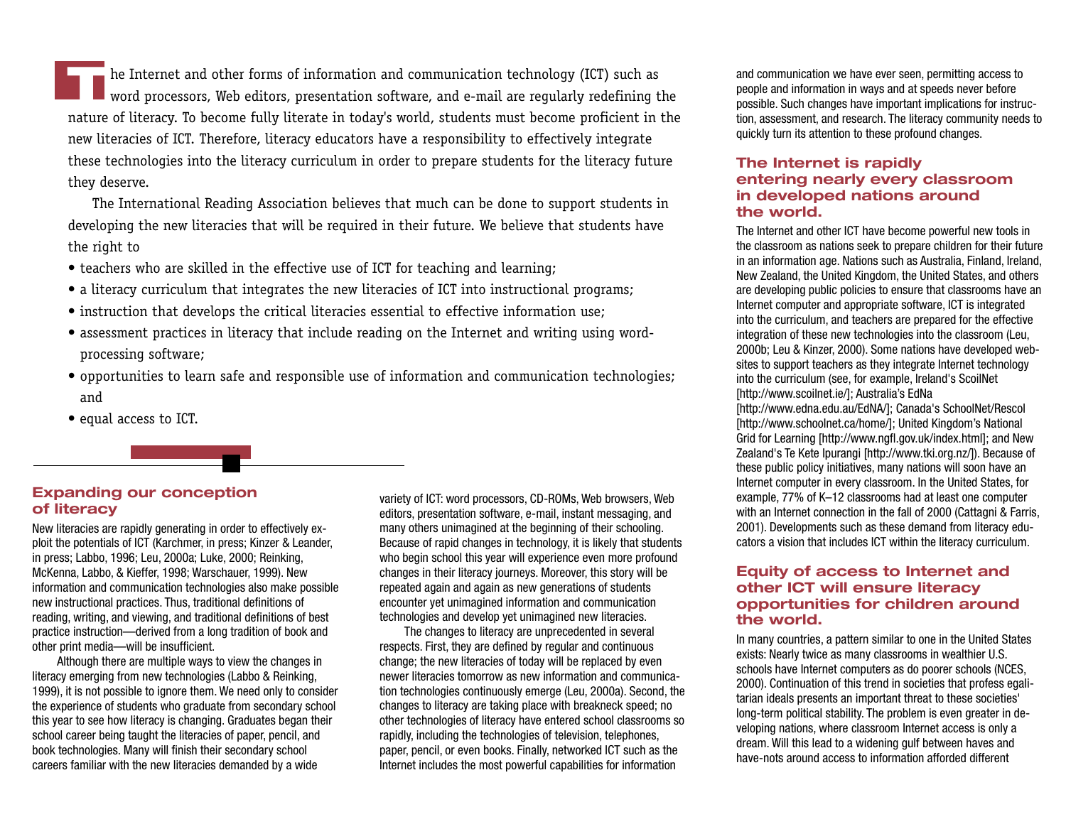**T**he Internet and other forms of information and communication technology (ICT) such as word processors, Web editors, presentation software, and e-mail are regularly redefining the nature of literacy. To become fully literate in today's world, students must become proficient in the new literacies of ICT. Therefore, literacy educators have a responsibility to effectively integrate these technologies into the literacy curriculum in order to prepare students for the literacy future they deserve.

The International Reading Association believes that much can be done to support students in developing the new literacies that will be required in their future. We believe that students have the right to

- teachers who are skilled in the effective use of ICT for teaching and learning;
- a literacy curriculum that integrates the new literacies of ICT into instructional programs;
- instruction that develops the critical literacies essential to effective information use;
- assessment practices in literacy that include reading on the Internet and writing using wordprocessing software;
- opportunities to learn safe and responsible use of information and communication technologies; and
- equal access to ICT.

#### **Expanding our conception of literacy**

New literacies are rapidly generating in order to effectively exploit the potentials of ICT (Karchmer, in press; Kinzer & Leander, in press; Labbo, 1996; Leu, 2000a; Luke, 2000; Reinking, McKenna, Labbo, & Kieffer, 1998; Warschauer, 1999). New information and communication technologies also make possible new instructional practices. Thus, traditional definitions of reading, writing, and viewing, and traditional definitions of best practice instruction—derived from a long tradition of book and other print media—will be insufficient.

Although there are multiple ways to view the changes in literacy emerging from new technologies (Labbo & Reinking, 1999), it is not possible to ignore them. We need only to consider the experience of students who graduate from secondary school this year to see how literacy is changing. Graduates began their school career being taught the literacies of paper, pencil, and book technologies. Many will finish their secondary school careers familiar with the new literacies demanded by a wide

variety of ICT: word processors, CD-ROMs, Web browsers, Web editors, presentation software, e-mail, instant messaging, and many others unimagined at the beginning of their schooling. Because of rapid changes in technology, it is likely that students who begin school this year will experience even more profound changes in their literacy journeys. Moreover, this story will be repeated again and again as new generations of students encounter yet unimagined information and communication technologies and develop yet unimagined new literacies.

The changes to literacy are unprecedented in several respects. First, they are defined by regular and continuous change; the new literacies of today will be replaced by even newer literacies tomorrow as new information and communication technologies continuously emerge (Leu, 2000a). Second, the changes to literacy are taking place with breakneck speed; no other technologies of literacy have entered school classrooms so rapidly, including the technologies of television, telephones, paper, pencil, or even books. Finally, networked ICT such as the Internet includes the most powerful capabilities for information

and communication we have ever seen, permitting access to people and information in ways and at speeds never before possible. Such changes have important implications for instruction, assessment, and research. The literacy community needs to quickly turn its attention to these profound changes.

#### **The Internet is rapidly entering nearly every classroom in developed nations around the world.**

The Internet and other ICT have become powerful new tools in the classroom as nations seek to prepare children for their future in an information age. Nations such as Australia, Finland, Ireland, New Zealand, the United Kingdom, the United States, and others are developing public policies to ensure that classrooms have an Internet computer and appropriate software, ICT is integrated into the curriculum, and teachers are prepared for the effective integration of these new technologies into the classroom (Leu, 2000b; Leu & Kinzer, 2000). Some nations have developed websites to support teachers as they integrate Internet technology into the curriculum (see, for example, Ireland's ScoilNet [http://www.scoilnet.ie/]; Australia's EdNa

[http://www.edna.edu.au/EdNA/]; Canada's SchoolNet/Rescol [http://www.schoolnet.ca/home/]; United Kingdom's National Grid for Learning [http://www.ngfl.gov.uk/index.html]; and New Zealand's Te Kete Ipurangi [http://www.tki.org.nz/]). Because of these public policy initiatives, many nations will soon have an Internet computer in every classroom. In the United States, for example, 77% of K–12 classrooms had at least one computer with an Internet connection in the fall of 2000 (Cattagni & Farris, 2001). Developments such as these demand from literacy educators a vision that includes ICT within the literacy curriculum.

#### **Equity of access to Internet and other ICT will ensure literacy opportunities for children around the world.**

In many countries, a pattern similar to one in the United States exists: Nearly twice as many classrooms in wealthier U.S. schools have Internet computers as do poorer schools (NCES, 2000). Continuation of this trend in societies that profess egalitarian ideals presents an important threat to these societies' long-term political stability. The problem is even greater in developing nations, where classroom Internet access is only a dream. Will this lead to a widening gulf between haves and have-nots around access to information afforded different